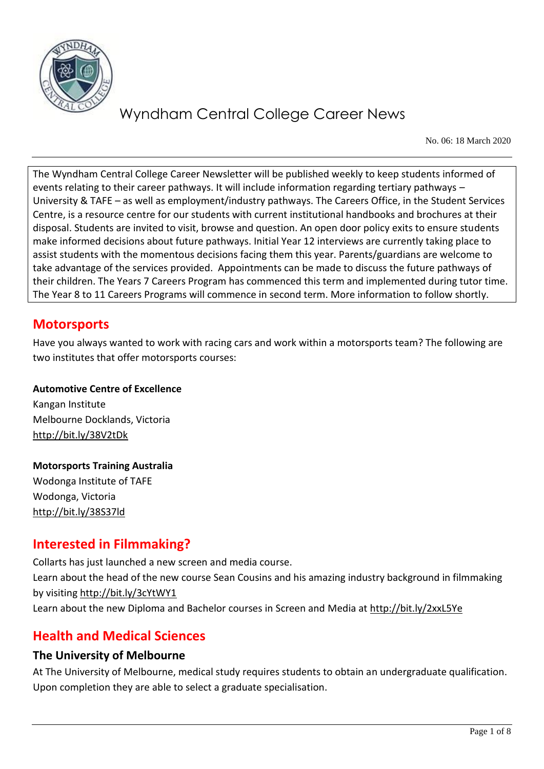

No. 06: 18 March 2020

The Wyndham Central College Career Newsletter will be published weekly to keep students informed of events relating to their career pathways. It will include information regarding tertiary pathways – University & TAFE – as well as employment/industry pathways. The Careers Office, in the Student Services Centre, is a resource centre for our students with current institutional handbooks and brochures at their disposal. Students are invited to visit, browse and question. An open door policy exits to ensure students make informed decisions about future pathways. Initial Year 12 interviews are currently taking place to assist students with the momentous decisions facing them this year. Parents/guardians are welcome to take advantage of the services provided. Appointments can be made to discuss the future pathways of their children. The Years 7 Careers Program has commenced this term and implemented during tutor time. The Year 8 to 11 Careers Programs will commence in second term. More information to follow shortly.

# **Motorsports**

Have you always wanted to work with racing cars and work within a motorsports team? The following are two institutes that offer motorsports courses:

**Automotive Centre of Excellence** Kangan Institute Melbourne Docklands, Victoria <http://bit.ly/38V2tDk>

**Motorsports Training Australia** Wodonga Institute of TAFE Wodonga, Victoria <http://bit.ly/38S37ld>

# **Interested in Filmmaking?**

Collarts has just launched a new screen and media course. Learn about the head of the new course Sean Cousins and his amazing industry background in filmmaking by visiting<http://bit.ly/3cYtWY1> Learn about the new Diploma and Bachelor courses in Screen and Media at<http://bit.ly/2xxL5Ye>

# **Health and Medical Sciences**

## **The University of Melbourne**

At The University of Melbourne, medical study requires students to obtain an undergraduate qualification. Upon completion they are able to select a graduate specialisation.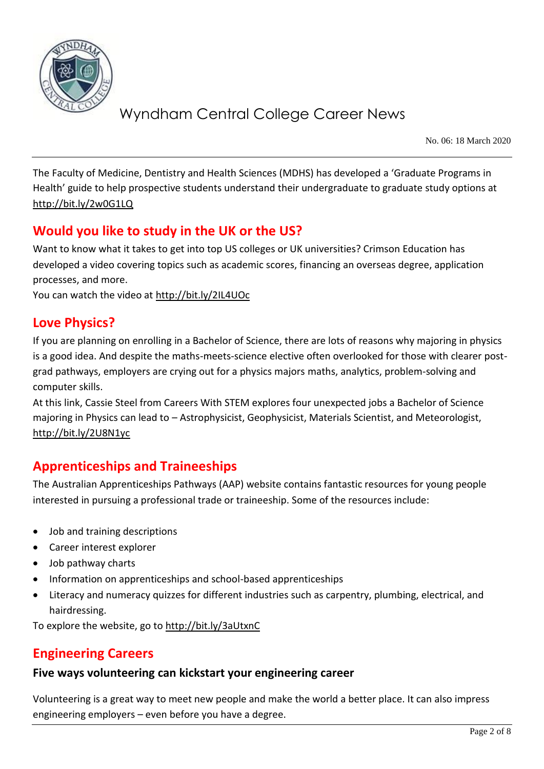

No. 06: 18 March 2020

The Faculty of Medicine, Dentistry and Health Sciences (MDHS) has developed a 'Graduate Programs in Health' guide to help prospective students understand their undergraduate to graduate study options at <http://bit.ly/2w0G1LQ>

# **Would you like to study in the UK or the US?**

Want to know what it takes to get into top US colleges or UK universities? Crimson Education has developed a video covering topics such as academic scores, financing an overseas degree, application processes, and more.

You can watch the video at<http://bit.ly/2IL4UOc>

## **Love Physics?**

If you are planning on enrolling in a Bachelor of Science, there are lots of reasons why majoring in physics is a good idea. And despite the maths-meets-science elective often overlooked for those with clearer postgrad pathways, employers are crying out for a physics majors maths, analytics, problem-solving and computer skills.

At this link, Cassie Steel from Careers With STEM explores four unexpected jobs a Bachelor of Science majoring in Physics can lead to – Astrophysicist, Geophysicist, Materials Scientist, and Meteorologist, <http://bit.ly/2U8N1yc>

# **Apprenticeships and Traineeships**

The Australian Apprenticeships Pathways (AAP) website contains fantastic resources for young people interested in pursuing a professional trade or traineeship. Some of the resources include:

- Job and training descriptions
- Career interest explorer
- Job pathway charts
- Information on apprenticeships and school-based apprenticeships
- Literacy and numeracy quizzes for different industries such as carpentry, plumbing, electrical, and hairdressing.

To explore the website, go to<http://bit.ly/3aUtxnC>

# **Engineering Careers**

#### **Five ways volunteering can kickstart your engineering career**

Volunteering is a great way to meet new people and make the world a better place. It can also impress engineering employers – even before you have a degree.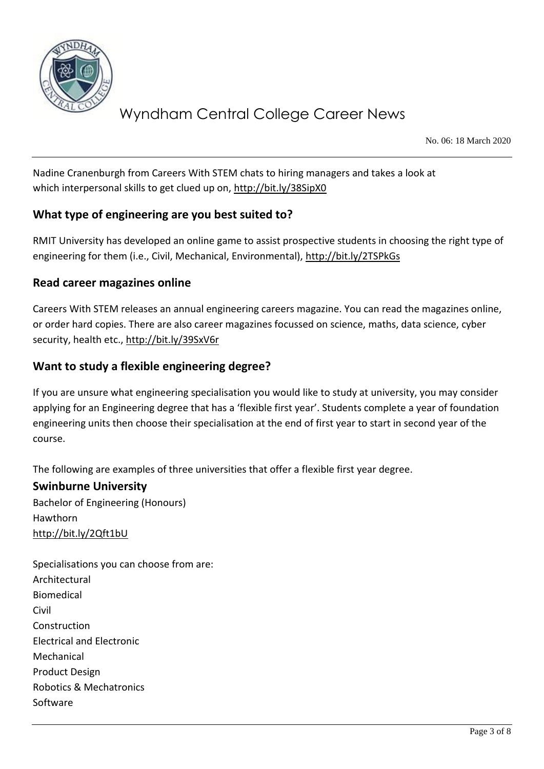

No. 06: 18 March 2020

Nadine Cranenburgh from Careers With STEM chats to hiring managers and takes a look at which interpersonal skills to get clued up on,<http://bit.ly/38SipX0>

## **What type of engineering are you best suited to?**

RMIT University has developed an online game to assist prospective students in choosing the right type of engineering for them (i.e., Civil, Mechanical, Environmental),<http://bit.ly/2TSPkGs>

### **Read career magazines online**

Careers With STEM releases an annual engineering careers magazine. You can read the magazines online, or order hard copies. There are also career magazines focussed on science, maths, data science, cyber security, health etc.,<http://bit.ly/39SxV6r>

### **Want to study a flexible engineering degree?**

If you are unsure what engineering specialisation you would like to study at university, you may consider applying for an Engineering degree that has a 'flexible first year'. Students complete a year of foundation engineering units then choose their specialisation at the end of first year to start in second year of the course.

The following are examples of three universities that offer a flexible first year degree.

## **Swinburne University**

Bachelor of Engineering (Honours) Hawthorn <http://bit.ly/2Qft1bU>

Specialisations you can choose from are: Architectural Biomedical Civil Construction Electrical and Electronic Mechanical Product Design Robotics & Mechatronics Software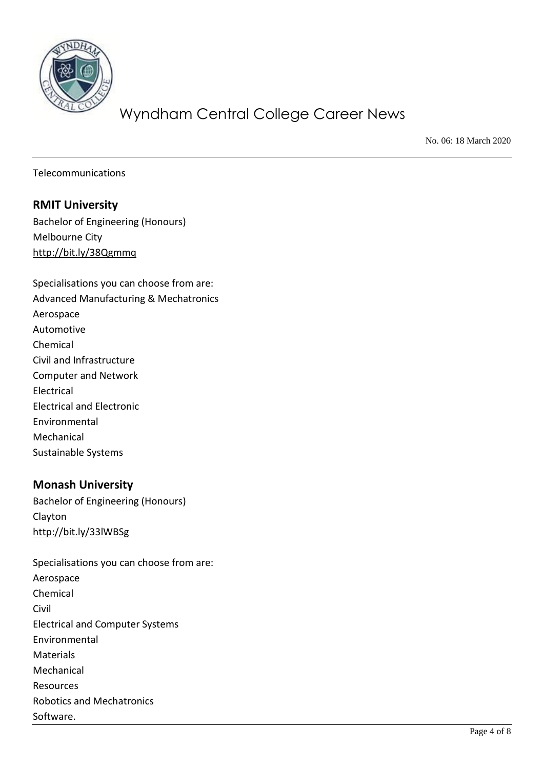

No. 06: 18 March 2020

Telecommunications

#### **RMIT University**

Bachelor of Engineering (Honours) Melbourne City <http://bit.ly/38Qgmmq>

Specialisations you can choose from are: Advanced Manufacturing & Mechatronics Aerospace Automotive Chemical Civil and Infrastructure Computer and Network Electrical Electrical and Electronic Environmental Mechanical Sustainable Systems

#### **Monash University**

Bachelor of Engineering (Honours) Clayton <http://bit.ly/33lWBSg>

Specialisations you can choose from are: Aerospace Chemical Civil Electrical and Computer Systems Environmental Materials Mechanical Resources Robotics and Mechatronics Software.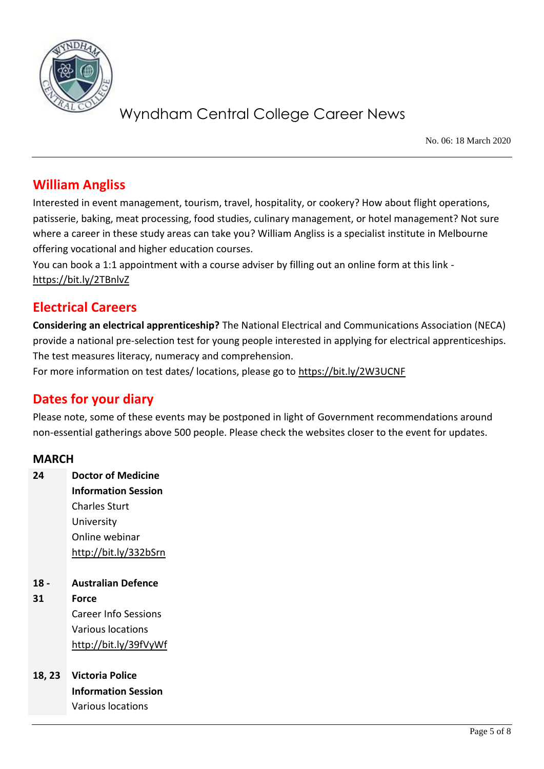

No. 06: 18 March 2020

## **William Angliss**

Interested in event management, tourism, travel, hospitality, or cookery? How about flight operations, patisserie, baking, meat processing, food studies, culinary management, or hotel management? Not sure where a career in these study areas can take you? William Angliss is a specialist institute in Melbourne offering vocational and higher education courses.

You can book a 1:1 appointment with a course adviser by filling out an online form at this link <https://bit.ly/2TBnlvZ>

## **Electrical Careers**

**Considering an electrical apprenticeship?** The National Electrical and Communications Association (NECA) provide a national pre-selection test for young people interested in applying for electrical apprenticeships. The test measures literacy, numeracy and comprehension.

For more information on test dates/ locations, please go to<https://bit.ly/2W3UCNF>

# **Dates for your diary**

Please note, some of these events may be postponed in light of Government recommendations around non-essential gatherings above 500 people. Please check the websites closer to the event for updates.

#### **MARCH**

| 24   | <b>Doctor of Medicine</b>  |
|------|----------------------------|
|      | <b>Information Session</b> |
|      | Charles Sturt              |
|      | University                 |
|      | Online webinar             |
|      | http://bit.ly/332bSrn      |
|      |                            |
|      |                            |
| 18 - | <b>Australian Defence</b>  |
| 31   | Force                      |
|      | Career Info Sessions       |
|      | <b>Various locations</b>   |
|      | http://bit.ly/39fVyWf      |
|      |                            |

**Information Session** Various locations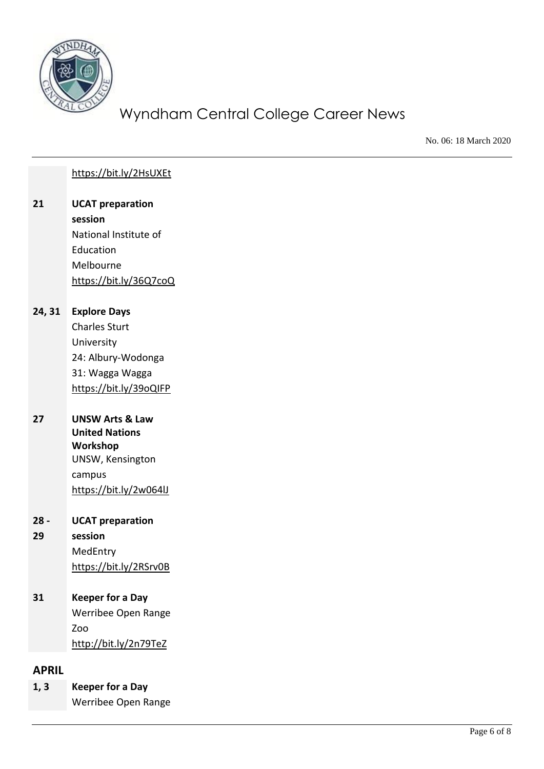

No. 06: 18 March 2020

#### <https://bit.ly/2HsUXEt>

#### **21 UCAT preparation session**

National Institute of Education Melbourne <https://bit.ly/36Q7coQ>

#### **24, 31 Explore Days**

Charles Sturt University 24: Albury-Wodonga 31: Wagga Wagga <https://bit.ly/39oQIFP>

### **27 UNSW Arts & Law United Nations Workshop** UNSW, Kensington campus <https://bit.ly/2w064lJ>

#### **28 - UCAT preparation**

#### **29 session** MedEntry <https://bit.ly/2RSrv0B>

## **31 Keeper for a Day** Werribee Open Range Zoo

<http://bit.ly/2n79TeZ>

## **APRIL**

**1, 3 Keeper for a Day** Werribee Open Range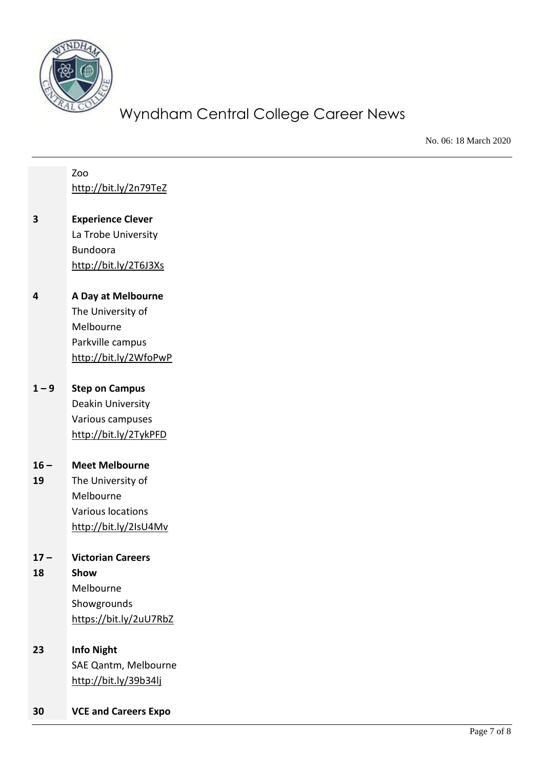

No. 06: 18 March 2020

#### Zoo <http://bit.ly/2n79TeZ>

- **3 Experience Clever** La Trobe University Bundoora <http://bit.ly/2T6J3Xs>
- **4 A Day at Melbourne** The University of Melbourne Parkville campus <http://bit.ly/2WfoPwP>

## **1 – 9 Step on Campus** Deakin University Various campuses

<http://bit.ly/2TykPFD>

#### $16 -$ **Meet Melbourne**

**19** The University of Melbourne Various locations <http://bit.ly/2IsU4Mv>

#### $17 -$ **Victorian Careers**

**18 Show** Melbourne Showgrounds <https://bit.ly/2uU7RbZ>

# **23 Info Night** SAE Qantm, Melbourne

<http://bit.ly/39b34lj>

**30 VCE and Careers Expo**